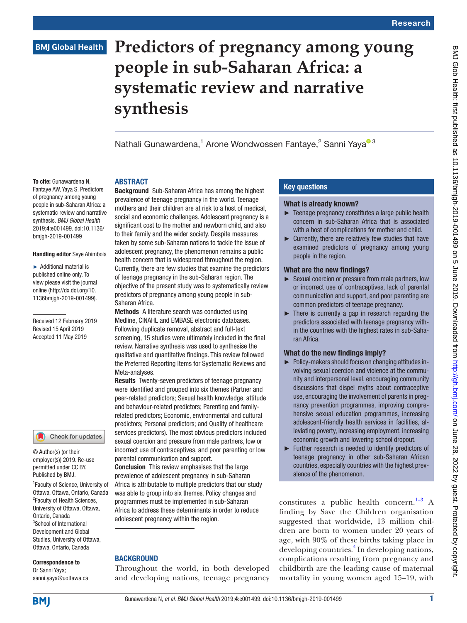# **BMJ Global Health**

# **Predictors of pregnancy among young people in sub-Saharan Africa: a systematic review and narrative synthesis**

N[a](http://orcid.org/0000-0002-4876-6043)thali Gunawardena,<sup>1</sup> Arone Wondwossen Fantaye,<sup>2</sup> Sanni Yaya<sup>o 3</sup>

# **ABSTRACT**

To cite: Gunawardena N. Fantaye AW, Yaya S. Predictors of pregnancy among young people in sub-Saharan Africa: a systematic review and narrative synthesis. *BMJ Global Health* 2019;4:e001499. doi:10.1136/ bmjgh-2019-001499

#### Handling editor Seye Abimbola

► Additional material is published online only. To view please visit the journal online (http://dx.doi.org/10. 1136bmjgh-2019-001499).

Received 12 February 2019 Revised 15 April 2019 Accepted 11 May 2019

#### Check for updates

© Author(s) (or their employer(s)) 2019. Re-use permitted under CC BY. Published by BMJ.

<sup>1</sup> Faculty of Science, University of Ottawa, Ottawa, Ontario, Canada <sup>2</sup> Faculty of Health Sciences, University of Ottawa, Ottawa, Ontario, Canada <sup>3</sup>School of International Development and Global Studies, University of Ottawa, Ottawa, Ontario, Canada

Correspondence to Dr Sanni Yaya; sanni.yaya@uottawa.ca

**Background** Sub-Saharan Africa has among the highest prevalence of teenage pregnancy in the world. Teenage mothers and their children are at risk to a host of medical, social and economic challenges. Adolescent pregnancy is a significant cost to the mother and newborn child, and also to their family and the wider society. Despite measures taken by some sub-Saharan nations to tackle the issue of adolescent pregnancy, the phenomenon remains a public health concern that is widespread throughout the region. Currently, there are few studies that examine the predictors of teenage pregnancy in the sub-Saharan region. The objective of the present study was to systematically review predictors of pregnancy among young people in sub-Saharan Africa.

Methods A literature search was conducted using Medline, CINAHL and EMBASE electronic databases. Following duplicate removal, abstract and full-text screening, 15 studies were ultimately included in the final review. Narrative synthesis was used to synthesise the qualitative and quantitative findings. This review followed the Preferred Reporting Items for Systematic Reviews and Meta-analyses.

Results Twenty-seven predictors of teenage pregnancy were identified and grouped into six themes (Partner and peer-related predictors; Sexual health knowledge, attitude and behaviour-related predictors; Parenting and familyrelated predictors; Economic, environmental and cultural predictors; Personal predictors; and Quality of healthcare services predictors). The most obvious predictors included sexual coercion and pressure from male partners, low or incorrect use of contraceptives, and poor parenting or low parental communication and support.

Conclusion This review emphasises that the large prevalence of adolescent pregnancy in sub-Saharan Africa is attributable to multiple predictors that our study was able to group into six themes. Policy changes and programmes must be implemented in sub-Saharan Africa to address these determinants in order to reduce adolescent pregnancy within the region.

# **BACKGROUND**

Throughout the world, in both developed and developing nations, teenage pregnancy

# Key questions

# What is already known?

- ► Teenage pregnancy constitutes a large public health concern in sub-Saharan Africa that is associated with a host of complications for mother and child.
- $\blacktriangleright$  Currently, there are relatively few studies that have examined predictors of pregnancy among young people in the region.

# What are the new findings?

- ► Sexual coercion or pressure from male partners, low or incorrect use of contraceptives, lack of parental communication and support, and poor parenting are common predictors of teenage pregnancy.
- $\blacktriangleright$  There is currently a gap in research regarding the predictors associated with teenage pregnancy within the countries with the highest rates in sub-Saharan Africa.

# What do the new findings imply?

- ► Policy-makers should focus on changing attitudes involving sexual coercion and violence at the community and interpersonal level, encouraging community discussions that dispel myths about contraceptive use, encouraging the involvement of parents in pregnancy prevention programmes, improving comprehensive sexual education programmes, increasing adolescent-friendly health services in facilities, alleviating poverty, increasing employment, increasing economic growth and lowering school dropout.
- ► Further research is needed to identify predictors of teenage pregnancy in other sub-Saharan African countries, especially countries with the highest prevalence of the phenomenon.

constitutes a public health concern.<sup>1-3</sup> A finding by Save the Children organisation suggested that worldwide, 13 million children are born to women under 20 years of age, with 90% of these births taking place in developing countries.<sup>[4](#page-5-1)</sup> In developing nations, complications resulting from pregnancy and childbirth are the leading cause of maternal mortality in young women aged 15–19, with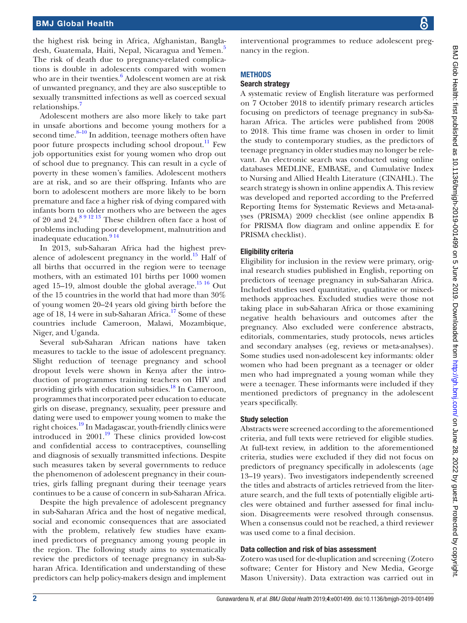the highest risk being in Africa, Afghanistan, Bangla-desh, Guatemala, Haiti, Nepal, Nicaragua and Yemen.<sup>[5](#page-5-2)</sup> The risk of death due to pregnancy-related complications is double in adolescents compared with women who are in their twenties.<sup>[6](#page-5-3)</sup> Adolescent women are at risk of unwanted pregnancy, and they are also susceptible to sexually transmitted infections as well as coerced sexual relationships.[7](#page-5-4)

Adolescent mothers are also more likely to take part in unsafe abortions and become young mothers for a second time. $8-10$  In addition, teenage mothers often have poor future prospects including school dropout.<sup>[11](#page-5-6)</sup> Few job opportunities exist for young women who drop out of school due to pregnancy. This can result in a cycle of poverty in these women's families. Adolescent mothers are at risk, and so are their offspring. Infants who are born to adolescent mothers are more likely to be born premature and face a higher risk of dying compared with infants born to older mothers who are between the ages of 20 and  $24.891213$  These children often face a host of problems including poor development, malnutrition and inadequate education.<sup>914</sup>

In 2013, sub-Saharan Africa had the highest prev-alence of adolescent pregnancy in the world.<sup>[15](#page-5-8)</sup> Half of all births that occurred in the region were to teenage mothers, with an estimated 101 births per 1000 women aged 15–19, almost double the global average. $15\frac{16}{16}$  Out of the 15 countries in the world that had more than 30% of young women 20–24 years old giving birth before the age of 18, 14 were in sub-Saharan Africa. $17$  Some of these countries include Cameroon, Malawi, Mozambique, Niger, and Uganda.

Several sub-Saharan African nations have taken measures to tackle to the issue of adolescent pregnancy. Slight reduction of teenage pregnancy and school dropout levels were shown in Kenya after the introduction of programmes training teachers on HIV and providing girls with education subsidies.<sup>18</sup> In Cameroon, programmes that incorporated peer education to educate girls on disease, pregnancy, sexuality, peer pressure and dating were used to empower young women to make the right choices[.19](#page-5-11) In Madagascar, youth-friendly clinics were introduced in 2001[.19](#page-5-11) These clinics provided low-cost and confidential access to contraceptives, counselling and diagnosis of sexually transmitted infections. Despite such measures taken by several governments to reduce the phenomenon of adolescent pregnancy in their countries, girls falling pregnant during their teenage years continues to be a cause of concern in sub-Saharan Africa.

Despite the high prevalence of adolescent pregnancy in sub-Saharan Africa and the host of negative medical, social and economic consequences that are associated with the problem, relatively few studies have examined predictors of pregnancy among young people in the region. The following study aims to systematically review the predictors of teenage pregnancy in sub-Saharan Africa. Identification and understanding of these predictors can help policy-makers design and implement

interventional programmes to reduce adolescent pregnancy in the region.

# **METHODS**

# Search strategy

A systematic review of English literature was performed on 7 October 2018 to identify primary research articles focusing on predictors of teenage pregnancy in sub-Saharan Africa. The articles were published from 2008 to 2018. This time frame was chosen in order to limit the study to contemporary studies, as the predictors of teenage pregnancy in older studies may no longer be relevant. An electronic search was conducted using online databases MEDLINE, EMBASE, and Cumulative Index to Nursing and Allied Health Literature (CINAHL). The search strategy is shown in online [appendix A](https://dx.doi.org/10.1136/bmjgh-2019-001499). This review was developed and reported according to the Preferred Reporting Items for Systematic Reviews and Meta-analyses (PRISMA) 2009 checklist (see online [appendix B](https://dx.doi.org/10.1136/bmjgh-2019-001499) for PRISMA flow diagram and online [appendix E](https://dx.doi.org/10.1136/bmjgh-2019-001499) for PRISMA checklist).

# Eligibility criteria

Eligibility for inclusion in the review were primary, original research studies published in English, reporting on predictors of teenage pregnancy in sub-Saharan Africa. Included studies used quantitative, qualitative or mixedmethods approaches. Excluded studies were those not taking place in sub-Saharan Africa or those examining negative health behaviours and outcomes after the pregnancy. Also excluded were conference abstracts, editorials, commentaries, study protocols, news articles and secondary analyses (eg, reviews or meta-analyses). Some studies used non-adolescent key informants: older women who had been pregnant as a teenager or older men who had impregnated a young woman while they were a teenager. These informants were included if they mentioned predictors of pregnancy in the adolescent years specifically.

# Study selection

Abstracts were screened according to the aforementioned criteria, and full texts were retrieved for eligible studies. At full-text review, in addition to the aforementioned criteria, studies were excluded if they did not focus on predictors of pregnancy specifically in adolescents (age 13–19 years). Two investigators independently screened the titles and abstracts of articles retrieved from the literature search, and the full texts of potentially eligible articles were obtained and further assessed for final inclusion. Disagreements were resolved through consensus. When a consensus could not be reached, a third reviewer was used come to a final decision.

# Data collection and risk of bias assessment

Zotero was used for de-duplication and screening (Zotero software; Center for History and New Media, George Mason University). Data extraction was carried out in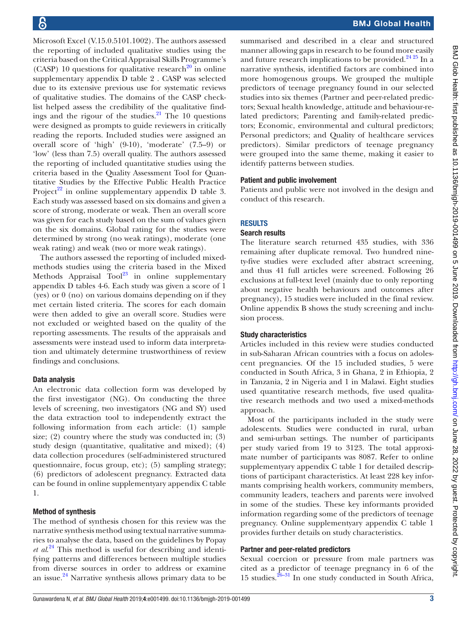Microsoft Excel (V.15.0.5101.1002). The authors assessed the reporting of included qualitative studies using the criteria based on the Critical Appraisal Skills Programme's (CASP) 10 questions for qualitative research<sup>20</sup> in [online](https://dx.doi.org/10.1136/bmjgh-2019-001499) [supplementary appendix D table 2](https://dx.doi.org/10.1136/bmjgh-2019-001499) . CASP was selected due to its extensive previous use for systematic reviews of qualitative studies. The domains of the CASP checklist helped assess the credibility of the qualitative findings and the rigour of the studies. $21$  The 10 questions were designed as prompts to guide reviewers in critically reading the reports. Included studies were assigned an overall score of 'high' (9-10), 'moderate' (7.5–9) or 'low' (less than 7.5) overall quality. The authors assessed the reporting of included quantitative studies using the criteria based in the Quality Assessment Tool for Quantitative Studies by the Effective Public Health Practice Project<sup>22</sup> in [online supplementary appendix D table 3.](https://dx.doi.org/10.1136/bmjgh-2019-001499) Each study was assessed based on six domains and given a score of strong, moderate or weak. Then an overall score was given for each study based on the sum of values given on the six domains. Global rating for the studies were determined by strong (no weak ratings), moderate (one weak rating) and weak (two or more weak ratings).

The authors assessed the reporting of included mixedmethods studies using the criteria based in the Mixed Methods Appraisal  $\text{Tool}^{23}$  in [online supplementary](https://dx.doi.org/10.1136/bmjgh-2019-001499) [appendix D tables 4-6.](https://dx.doi.org/10.1136/bmjgh-2019-001499) Each study was given a score of 1 (yes) or 0 (no) on various domains depending on if they met certain listed criteria. The scores for each domain were then added to give an overall score. Studies were not excluded or weighted based on the quality of the reporting assessments. The results of the appraisals and assessments were instead used to inform data interpretation and ultimately determine trustworthiness of review findings and conclusions.

# Data analysis

An electronic data collection form was developed by the first investigator (NG). On conducting the three levels of screening, two investigators (NG and SY) used the data extraction tool to independently extract the following information from each article: (1) sample size; (2) country where the study was conducted in; (3) study design (quantitative, qualitative and mixed); (4) data collection procedures (self-administered structured questionnaire, focus group, etc); (5) sampling strategy; (6) predictors of adolescent pregnancy. Extracted data can be found in [online supplementyary appendix C table](https://dx.doi.org/10.1136/bmjgh-2019-001499) [1](https://dx.doi.org/10.1136/bmjgh-2019-001499).

# Method of synthesis

The method of synthesis chosen for this review was the narrative synthesis method using textual narrative summaries to analyse the data, based on the guidelines by Popay *et al*. [24](#page-6-1) This method is useful for describing and identifying patterns and differences between multiple studies from diverse sources in order to address or examine an issue. $24$  Narrative synthesis allows primary data to be

summarised and described in a clear and structured manner allowing gaps in research to be found more easily and future research implications to be provided. $24\frac{24\frac{25}{25}}{1}$  In a narrative synthesis, identified factors are combined into more homogenous groups. We grouped the multiple predictors of teenage pregnancy found in our selected studies into six themes (Partner and peer-related predictors; Sexual health knowledge, attitude and behaviour-related predictors; Parenting and family-related predictors; Economic, environmental and cultural predictors; Personal predictors; and Quality of healthcare services predictors). Similar predictors of teenage pregnancy were grouped into the same theme, making it easier to identify patterns between studies.

# Patient and public involvement

Patients and public were not involved in the design and conduct of this research.

# **RESULTS**

## Search results

The literature search returned 435 studies, with 336 remaining after duplicate removal. Two hundred ninety-five studies were excluded after abstract screening, and thus 41 full articles were screened. Following 26 exclusions at full-text level (mainly due to only reporting about negative health behaviours and outcomes after pregnancy), 15 studies were included in the final review. Online [appendix B](https://dx.doi.org/10.1136/bmjgh-2019-001499) shows the study screening and inclusion process.

## Study characteristics

Articles included in this review were studies conducted in sub-Saharan African countries with a focus on adolescent pregnancies. Of the 15 included studies, 5 were conducted in South Africa, 3 in Ghana, 2 in Ethiopia, 2 in Tanzania, 2 in Nigeria and 1 in Malawi. Eight studies used quantitative research methods, five used qualitative research methods and two used a mixed-methods approach.

Most of the participants included in the study were adolescents. Studies were conducted in rural, urban and semi-urban settings. The number of participants per study varied from 19 to 3123. The total approximate number of participants was 8087. Refer to [online](https://dx.doi.org/10.1136/bmjgh-2019-001499) [supplementyary appendix C table 1](https://dx.doi.org/10.1136/bmjgh-2019-001499) for detailed descriptions of participant characteristics. At least 228 key informants comprising health workers, community members, community leaders, teachers and parents were involved in some of the studies. These key informants provided information regarding some of the predictors of teenage pregnancy. [Online supplementyary appendix C table 1](https://dx.doi.org/10.1136/bmjgh-2019-001499) provides further details on study characteristics.

# Partner and peer-related predictors

Sexual coercion or pressure from male partners was cited as a predictor of teenage pregnancy in 6 of the 15 studies[.26–31](#page-6-2) In one study conducted in South Africa,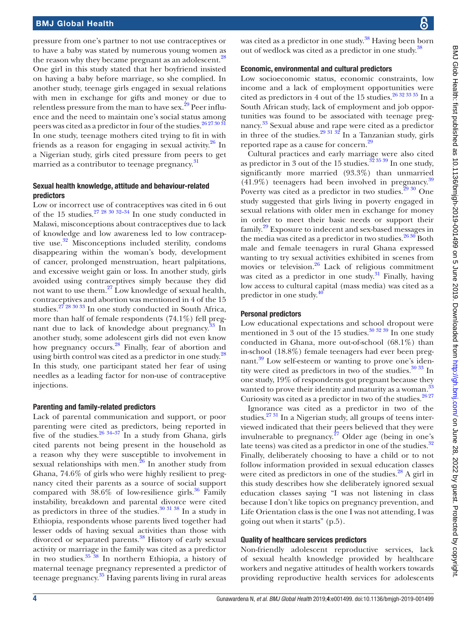pressure from one's partner to not use contraceptives or to have a baby was stated by numerous young women as the reason why they became pregnant as an adolescent.<sup>[28](#page-6-3)</sup> One girl in this study stated that her boyfriend insisted on having a baby before marriage, so she complied. In another study, teenage girls engaged in sexual relations with men in exchange for gifts and money or due to relentless pressure from the man to have sex.<sup>29</sup> Peer influence and the need to maintain one's social status among peers was cited as a predictor in four of the studies.<sup>26 27 30 31</sup> In one study, teenage mothers cited trying to fit in with friends as a reason for engaging in sexual activity.<sup>26</sup> In a Nigerian study, girls cited pressure from peers to get married as a contributor to teenage pregnancy.<sup>[31](#page-6-5)</sup>

# Sexual health knowledge, attitude and behaviour-related predictors

Low or incorrect use of contraceptives was cited in 6 out of the 15 studies.<sup>[27 28 30 32–34](#page-6-6)</sup> In one study conducted in Malawi, misconceptions about contraceptives due to lack of knowledge and low awareness led to low contraceptive use.<sup>32</sup> Misconceptions included sterility, condoms disappearing within the woman's body, development of cancer, prolonged menstruation, heart palpitations, and excessive weight gain or loss. In another study, girls avoided using contraceptives simply because they did not want to use them.[27](#page-6-6) Low knowledge of sexual health, contraceptives and abortion was mentioned in 4 of the 15 studies.<sup>[27 28 30 33](#page-6-6)</sup> In one study conducted in South Africa, more than half of female respondents (74.1%) fell pregnant due to lack of knowledge about pregnancy.<sup>33</sup> In another study, some adolescent girls did not even know how pregnancy occurs.<sup>28</sup> Finally, fear of abortion and using birth control was cited as a predictor in one study.<sup>[28](#page-6-3)</sup> In this study, one participant stated her fear of using needles as a leading factor for non-use of contraceptive injections.

# Parenting and family-related predictors

Lack of parental communication and support, or poor parenting were cited as predictors, being reported in five of the studies. $26\frac{34-37}{1}$  In a study from Ghana, girls cited parents not being present in the household as a reason why they were susceptible to involvement in sexual relationships with men. $^{26}$  In another study from Ghana, 74.6% of girls who were highly resilient to pregnancy cited their parents as a source of social support compared with  $38.6\%$  of low-resilience girls.<sup>36</sup> Family instability, breakdown and parental divorce were cited as predictors in three of the studies. $30\frac{31\frac{38}{11}}{81}$  In a study in Ethiopia, respondents whose parents lived together had lesser odds of having sexual activities than those with divorced or separated parents.<sup>38</sup> History of early sexual activity or marriage in the family was cited as a predictor in two studies.[35 38](#page-6-12) In northern Ethiopia, a history of maternal teenage pregnancy represented a predictor of teenage pregnancy.<sup>35</sup> Having parents living in rural areas

was cited as a predictor in one study.<sup>38</sup> Having been born out of wedlock was cited as a predictor in one study.[38](#page-6-11)

# Economic, environmental and cultural predictors

Low socioeconomic status, economic constraints, low income and a lack of employment opportunities were cited as predictors in 4 out of the 15 studies.<sup>26 32 33 35</sup> In a South African study, lack of employment and job opportunities was found to be associated with teenage pregnancy. [33](#page-6-8) Sexual abuse and rape were cited as a predictor in three of the studies.<sup>29 31 32</sup> In a Tanzanian study, girls reported rape as a cause for concern.[29](#page-6-4)

Cultural practices and early marriage were also cited as predictor in 3 out of the 15 studies.<sup>[32 35 39](#page-6-7)</sup> In one study, significantly more married (93.3%) than unmarried  $(41.9\%)$  teenagers had been involved in pregnancy.<sup>[39](#page-6-13)</sup> Poverty was cited as a predictor in two studies. $2930$  One study suggested that girls living in poverty engaged in sexual relations with older men in exchange for money in order to meet their basic needs or support their family.[29](#page-6-4) Exposure to indecent and sex-based messages in the media was cited as a predictor in two studies.  $2630$  Both male and female teenagers in rural Ghana expressed wanting to try sexual activities exhibited in scenes from movies or television. $26$  Lack of religious commitment was cited as a predictor in one study.<sup>31</sup> Finally, having low access to cultural capital (mass media) was cited as a predictor in one study. $40$ 

# Personal predictors

Low educational expectations and school dropout were mentioned in 3 out of the 15 studies. $30\frac{32\frac{39}{2} \times 10}{90}$  In one study conducted in Ghana, more out-of-school (68.1%) than in-school (18.8%) female teenagers had ever been pregnant.<sup>39</sup> Low self-esteem or wanting to prove one's identity were cited as predictors in two of the studies. $30\frac{33}{10}$  In one study, 19% of respondents got pregnant because they wanted to prove their identity and maturity as a woman.<sup>[33](#page-6-8)</sup> Curiosity was cited as a predictor in two of the studies.  $26\frac{27}{27}$ 

Ignorance was cited as a predictor in two of the studies. $2731$  In a Nigerian study, all groups of teens interviewed indicated that their peers believed that they were invulnerable to pregnancy.<sup>27</sup> Older age (being in one's late teens) was cited as a predictor in one of the studies.<sup>[32](#page-6-7)</sup> Finally, deliberately choosing to have a child or to not follow information provided in sexual education classes were cited as predictors in one of the studies. $^{28}$  A girl in this study describes how she deliberately ignored sexual education classes saying "I was not listening in class because I don't like topics on pregnancy prevention, and Life Orientation class is the one I was not attending, I was going out when it starts" (p.5).

# Quality of healthcare services predictors

Non-friendly adolescent reproductive services, lack of sexual health knowledge provided by healthcare workers and negative attitudes of health workers towards providing reproductive health services for adolescents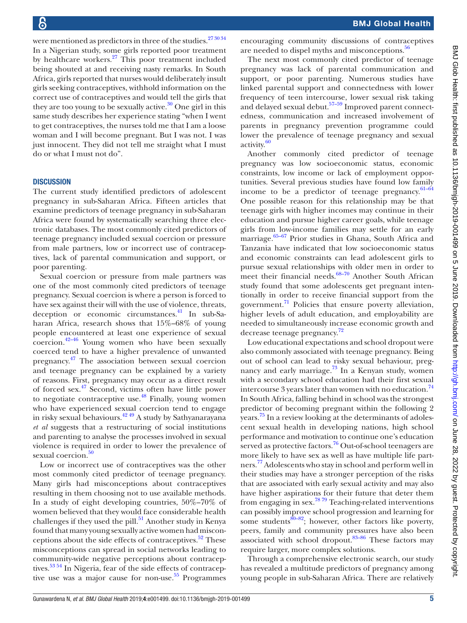were mentioned as predictors in three of the studies. $273034$ In a Nigerian study, some girls reported poor treatment by healthcare workers.<sup>27</sup> This poor treatment included being shouted at and receiving nasty remarks. In South Africa, girls reported that nurses would deliberately insult girls seeking contraceptives, withhold information on the correct use of contraceptives and would tell the girls that they are too young to be sexually active. $30$  One girl in this same study describes her experience stating "when I went to get contraceptives, the nurses told me that I am a loose woman and I will become pregnant. But I was not. I was just innocent. They did not tell me straight what I must do or what I must not do".

# **DISCUSSION**

The current study identified predictors of adolescent pregnancy in sub-Saharan Africa. Fifteen articles that examine predictors of teenage pregnancy in sub-Saharan Africa were found by systematically searching three electronic databases. The most commonly cited predictors of teenage pregnancy included sexual coercion or pressure from male partners, low or incorrect use of contraceptives, lack of parental communication and support, or poor parenting.

Sexual coercion or pressure from male partners was one of the most commonly cited predictors of teenage pregnancy. Sexual coercion is where a person is forced to have sex against their will with the use of violence, threats, deception or economic circumstances.<sup>41</sup> In sub-Saharan Africa, research shows that 15%–68% of young people encountered at least one experience of sexual coercion.[42–46](#page-6-16) Young women who have been sexually coerced tend to have a higher prevalence of unwanted pregnancy.<sup>[47](#page-6-17)</sup> The association between sexual coercion and teenage pregnancy can be explained by a variety of reasons. First, pregnancy may occur as a direct result of forced sex[.47](#page-6-17) Second, victims often have little power to negotiate contraceptive use. $48$  Finally, young women who have experienced sexual coercion tend to engage in risky sexual behaviours.<sup>[42 49](#page-6-16)</sup> A study by Sathyanarayana *et al* suggests that a restructuring of social institutions and parenting to analyse the processes involved in sexual violence is required in order to lower the prevalence of sexual coercion.<sup>[50](#page-6-19)</sup>

Low or incorrect use of contraceptives was the other most commonly cited predictor of teenage pregnancy. Many girls had misconceptions about contraceptives resulting in them choosing not to use available methods. In a study of eight developing countries, 50%–70% of women believed that they would face considerable health challenges if they used the pill.<sup>[51](#page-6-20)</sup> Another study in Kenya found that many young sexually active women had misconceptions about the side effects of contraceptives.<sup>52</sup> These misconceptions can spread in social networks leading to community-wide negative perceptions about contraceptives.[53 54](#page-6-22) In Nigeria, fear of the side effects of contraceptive use was a major cause for non-use. $55$  Programmes

encouraging community discussions of contraceptives are needed to dispel myths and misconceptions.<sup>56</sup>

The next most commonly cited predictor of teenage pregnancy was lack of parental communication and support, or poor parenting. Numerous studies have linked parental support and connectedness with lower frequency of teen intercourse, lower sexual risk taking and delayed sexual debut.[57–59](#page-6-25) Improved parent connectedness, communication and increased involvement of parents in pregnancy prevention programme could lower the prevalence of teenage pregnancy and sexual activity.<sup>[60](#page-6-26)</sup>

Another commonly cited predictor of teenage pregnancy was low socioeconomic status, economic constraints, low income or lack of employment opportunities. Several previous studies have found low family income to be a predictor of teenage pregnancy. $61-64$ One possible reason for this relationship may be that teenage girls with higher incomes may continue in their education and pursue higher career goals, while teenage girls from low-income families may settle for an early marriage.<sup>65–67</sup> Prior studies in Ghana, South Africa and Tanzania have indicated that low socioeconomic status and economic constraints can lead adolescent girls to pursue sexual relationships with older men in order to meet their financial needs. $68-70$  Another South African study found that some adolescents get pregnant intentionally in order to receive financial support from the government. $\frac{71}{1}$  $\frac{71}{1}$  $\frac{71}{1}$  Policies that ensure poverty alleviation, higher levels of adult education, and employability are needed to simultaneously increase economic growth and decrease teenage pregnancy.<sup>[72](#page-6-31)</sup>

Low educational expectations and school dropout were also commonly associated with teenage pregnancy. Being out of school can lead to risky sexual behaviour, pregnancy and early marriage. $^{73}$  $^{73}$  $^{73}$  In a Kenyan study, women with a secondary school education had their first sexual intercourse  $3$  years later than women with no education.<sup>74</sup> In South Africa, falling behind in school was the strongest predictor of becoming pregnant within the following 2 years.<sup>75</sup> In a review looking at the determinants of adolescent sexual health in developing nations, high school performance and motivation to continue one's education served as protective factors.<sup>76</sup> Out-of-school teenagers are more likely to have sex as well as have multiple life partners. [77](#page-6-36) Adolescents who stay in school and perform well in their studies may have a stronger perception of the risks that are associated with early sexual activity and may also have higher aspirations for their future that deter them from engaging in sex.[78 79](#page-6-37) Teaching-related interventions can possibly improve school progression and learning for some students $80-82$ ; however, other factors like poverty, peers, family and community pressures have also been associated with school dropout. $83-86$  These factors may require larger, more complex solutions.

Through a comprehensive electronic search, our study has revealed a multitude predictors of pregnancy among young people in sub-Saharan Africa. There are relatively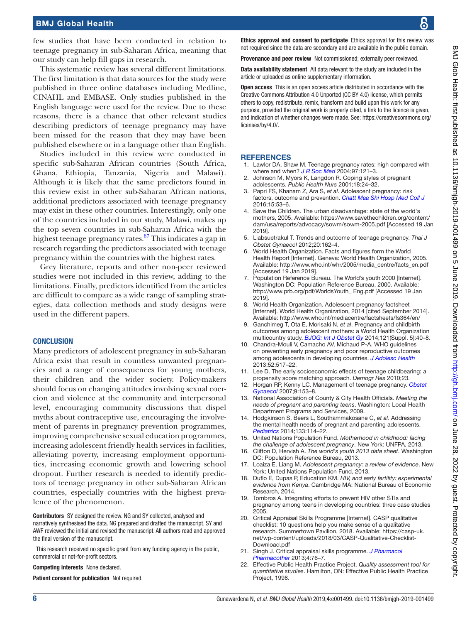few studies that have been conducted in relation to teenage pregnancy in sub-Saharan Africa, meaning that our study can help fill gaps in research.

This systematic review has several different limitations. The first limitation is that data sources for the study were published in three online databases including Medline, CINAHL and EMBASE. Only studies published in the English language were used for the review. Due to these reasons, there is a chance that other relevant studies describing predictors of teenage pregnancy may have been missed for the reason that they may have been published elsewhere or in a language other than English.

Studies included in this review were conducted in specific sub-Saharan African countries (South Africa, Ghana, Ethiopia, Tanzania, Nigeria and Malawi). Although it is likely that the same predictors found in this review exist in other sub-Saharan African nations, additional predictors associated with teenage pregnancy may exist in these other countries. Interestingly, only one of the countries included in our study, Malawi, makes up the top seven countries in sub-Saharan Africa with the highest teenage pregnancy rates.<sup>[87](#page-7-2)</sup> This indicates a gap in research regarding the predictors associated with teenage pregnancy within the countries with the highest rates.

Grey literature, reports and other non-peer reviewed studies were not included in this review, adding to the limitations. Finally, predictors identified from the articles are difficult to compare as a wide range of sampling strategies, data collection methods and study designs were used in the different papers.

## **CONCLUSION**

Many predictors of adolescent pregnancy in sub-Saharan Africa exist that result in countless unwanted pregnancies and a range of consequences for young mothers, their children and the wider society. Policy-makers should focus on changing attitudes involving sexual coercion and violence at the community and interpersonal level, encouraging community discussions that dispel myths about contraceptive use, encouraging the involvement of parents in pregnancy prevention programmes, improving comprehensive sexual education programmes, increasing adolescent friendly health services in facilities, alleviating poverty, increasing employment opportunities, increasing economic growth and lowering school dropout. Further research is needed to identify predictors of teenage pregnancy in other sub-Saharan African countries, especially countries with the highest prevalence of the phenomenon.

Contributors SY designed the review. NG and SY collected, analysed and narratively synthesised the data. NG prepared and drafted the manuscript. SY and AWF reviewed the initial and revised the manuscript. All authors read and approved the final version of the manuscript.

This research received no specific grant from any funding agency in the public, commercial or not-for-profit sectors.

Competing interests None declared.

Patient consent for publication Not required.

Ethics approval and consent to participate Ethics approval for this review was not required since the data are secondary and are available in the public domain.

Provenance and peer review Not commissioned; externally peer reviewed.

Data availability statement All data relevant to the study are included in the article or uploaded as online supplementary information.

Open access This is an open access article distributed in accordance with the Creative Commons Attribution 4.0 Unported (CC BY 4.0) license, which permits others to copy, redistribute, remix, transform and build upon this work for any purpose, provided the original work is properly cited, a link to the licence is given, and indication of whether changes were made. See: [https://creativecommons.org/](https://creativecommons.org/licenses/by/4.0/) [licenses/by/4.0/](https://creativecommons.org/licenses/by/4.0/).

### **REFERENCES**

- <span id="page-5-0"></span>1. Lawlor DA, Shaw M. Teenage pregnancy rates: high compared with where and when? *[J R Soc Med](http://dx.doi.org/10.1177/014107680409700306)* 2004;97:121–3.
- 2. Johnson M, Myors K, Langdon R. Coping styles of pregnant adolescents. *Public Health Nurs* 2001;18:24–32.
- 3. Papri FS, Khanam Z, Ara S, *et al*. Adolescent pregnancy: risk factors, outcome and prevention. *[Chatt Maa Shi Hosp Med Coll J](http://dx.doi.org/10.3329/cmoshmcj.v15i1.28764)* 2016;15:53–6.
- <span id="page-5-1"></span>4. Save the Children. The urban disadvantage: state of the world's mothers, 2005. Available: [https://www.savethechildren.org/content/](https://www.savethechildren.org/content/dam/usa/reports/advocacy/sowm/sowm-2005.pdf) [dam/usa/reports/advocacy/sowm/sowm-2005.pdf](https://www.savethechildren.org/content/dam/usa/reports/advocacy/sowm/sowm-2005.pdf) [Accessed 19 Jan 2019].
- <span id="page-5-2"></span>5. Liabsuetrakul T. Trends and outcome of teenage pregnancy. *Thai J Obstet Gynaecol* 2012;20:162–4.
- <span id="page-5-3"></span>6. World Health Organization. Facts and figures form the World Health Report [Internet]. Geneva: World Health Organization, 2005. Available: [http://www.who.int/whr/2005/media\\_centre/facts\\_en.pdf](http://www.who.int/whr/2005/media_centre/facts_en.pdf)  [Accessed 19 Jan 2019].
- <span id="page-5-4"></span>7. Population Reference Bureau. The World's youth 2000 [Internet]. Washington DC: Population Reference Bureau, 2000. Available: [http://www.prb.org/pdf/WorldsYouth\\_ Eng.pdf](http://www.prb.org/pdf/WorldsYouth_%20Eng.pdf) [Accessed 19 Jan 2019].
- <span id="page-5-5"></span>8. World Health Organization. Adolescent pregnancy factsheet [Internet]. World Health Organization, 2014 [cited September 2014]. Available:<http://www.who.int/mediacentre/factsheets/fs364/en/>
- <span id="page-5-7"></span>9. Ganchimeg T, Ota E, Morisaki N, *et al*. Pregnancy and childbirth outcomes among adolescent mothers: a World Health Organization multicountry study. *[BJOG: Int J Obstet Gy](http://dx.doi.org/10.1111/1471-0528.12630)* 2014;121(Suppl. 5):40–8.
- 10. Chandra-Mouli V, Camacho AV, Michaud P-A. WHO guidelines on preventing early pregnancy and poor reproductive outcomes among adolescents in developing countries. *[J Adolesc Health](http://dx.doi.org/10.1016/j.jadohealth.2013.03.002)* 2013;52:517–22.
- <span id="page-5-6"></span>11. Lee D. The early socioeconomic effects of teenage childbearing: a propensity score matching approach. *Demogr Res* 2010;23.
- 12. Horgan RP, Kenny LC. Management of teenage pregnancy. *[Obstet](http://dx.doi.org/10.1576/toag.9.3.153.27334)  [Gynaecol](http://dx.doi.org/10.1576/toag.9.3.153.27334)* 2007;9:153–8.
- 13. National Association of County & City Health Officials. *Meeting the needs of pregnant and parenting teens*. Washington: Local Health Department Programs and Services, 2009.
- 14. Hodgkinson S, Beers L, Southammakosane C, *et al*. Addressing the mental health needs of pregnant and parenting adolescents. *[Pediatrics](http://dx.doi.org/10.1542/peds.2013-0927)* 2014;133:114–22.
- <span id="page-5-8"></span>15. United Nations Population Fund. *Motherhood in childhood: facing the challenge of adolescent pregnancy*. New York: UNFPA, 2013.
- 16. Clifton D, Hervish A. *The world's youth 2013 data sheet*. Washington DC: Population Reference Bureau, 2013.
- <span id="page-5-9"></span>17. Loaiza E, Liang M. *Adolescent pregnancy: a review of evidence*. New York: United Nations Population Fund, 2013.
- <span id="page-5-10"></span>18. Duflo E, Dupas P, Education KM. *HIV, and early fertility: experimental evidence from Kenya*. Cambridge MA: National Bureau of Economic Research, 2014.
- <span id="page-5-11"></span>19. Tombros A. Integrating efforts to prevent HIV other STIs and pregnancy among teens in developing countries: three case studies 2005.
- <span id="page-5-12"></span>20. Critical Appraisal Skills Programme [Internet]. CASP qualitative checklist: 10 questions help you make sense of a qualitative research. Summertown Pavilion, 2018. Available: [https://casp-uk.](https://casp-uk.net/wp-content/uploads/2018/03/CASP-Qualitative-Checklist-Download.pdf) [net/wp-content/uploads/2018/03/CASP-Qualitative-Checklist-](https://casp-uk.net/wp-content/uploads/2018/03/CASP-Qualitative-Checklist-Download.pdf)[Download.pdf](https://casp-uk.net/wp-content/uploads/2018/03/CASP-Qualitative-Checklist-Download.pdf)
- <span id="page-5-13"></span>21. Singh J. Critical appraisal skills programme. *[J Pharmacol](http://dx.doi.org/10.4103/0976-500X.107697)  [Pharmacother](http://dx.doi.org/10.4103/0976-500X.107697)* 2013;4:76–7.
- <span id="page-5-14"></span>22. Effective Public Health Practice Project. *Quality assessment tool for quantitative studies*. Hamilton, ON: Effective Public Health Practice Project, 1998.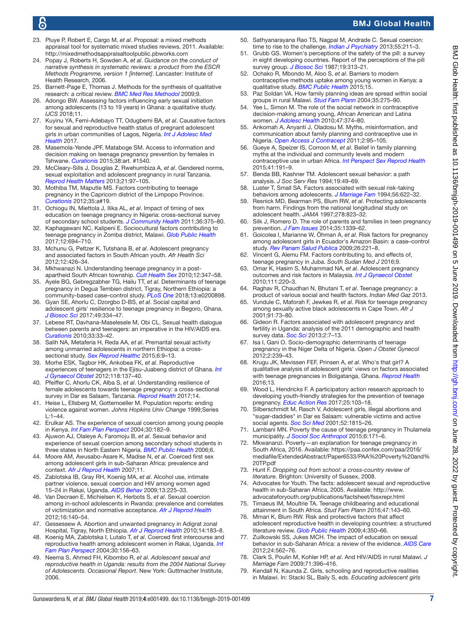# BMJ Global Health

- <span id="page-6-0"></span>23. Pluye P, Robert E, Cargo M, *et al*. Proposal: a mixed methods appraisal tool for systematic mixed studies reviews, 2011. Available: <http://mixedmethodsappraisaltoolpublic.pbworks.com>
- <span id="page-6-1"></span>24. Popay J, Roberts H, Sowden A, *et al*. *Guidance on the conduct of narrative synthesis in systematic reviews: a product from the ESCR Methods Programme, version 1 [Internet]*. Lancaster: Institute of Health Research, 2006.
- 25. Barnett-Page E, Thomas J. Methods for the synthesis of qualitative research: a critical review. *[BMC Med Res Methodol](http://dx.doi.org/10.1186/1471-2288-9-59)* 2009;9.
- <span id="page-6-2"></span>26. Adongo BW. Assessing factors influencing early sexual initiation among adolescents (13 to 19 years) in Ghana: a qualitative study. *IJCS* 2018;11.
- <span id="page-6-6"></span>27. Kuyinu YA, Femi-Adebayo TT, Odugbemi BA, *et al*. Causative factors for sexual and reproductive health status of pregnant adolescent girls in urban communities of Lagos, Nigeria. *[Int J Adolesc Med](http://dx.doi.org/10.1515/ijamh-2017-0104)  [Health](http://dx.doi.org/10.1515/ijamh-2017-0104)* 2017.
- <span id="page-6-3"></span>28. Masemola-Yende JPF, Mataboge SM. Access to information and decision making on teenage pregnancy prevention by females in Tshwane. *[Curationis](http://dx.doi.org/10.4102/curationis.v38i2.1540)* 2015;38:art. #1540.
- <span id="page-6-4"></span>29. McCleary-Sills J, Douglas Z, Rwehumbiza A, *et al*. Gendered norms, sexual exploitation and adolescent pregnancy in rural Tanzania. *[Reprod Health Matters](http://dx.doi.org/10.1016/S0968-8080(13)41682-8)* 2013;21:97–105.
- <span id="page-6-10"></span>30. Mothiba TM, Maputle MS. Factors contributing to teenage pregnancy in the Capricorn district of the Limpopo Province. *[Curationis](http://dx.doi.org/10.4102/curationis.v35i1.19)* 2012;35:a#19.
- <span id="page-6-5"></span>31. Ochiogu IN, Miettola J, Ilika AL, *et al*. Impact of timing of sex education on teenage pregnancy in Nigeria: cross-sectional survey of secondary school students. *[J Community Health](http://dx.doi.org/10.1007/s10900-010-9318-6)* 2011;36:375–80.
- <span id="page-6-7"></span>32. Kaphagawani NC, Kalipeni E. Sociocultural factors contributing to teenage pregnancy in Zomba district, Malawi. *[Glob Public Health](http://dx.doi.org/10.1080/17441692.2016.1229354)* 2017;12:694–710.
- <span id="page-6-8"></span>33. Mchunu G, Peltzer K, Tutshana B, *et al*. Adolescent pregnancy and associated factors in South African youth. *Afr Health Sci* 2012;12:426–34.
- 34. Mkhwanazi N. Understanding teenage pregnancy in a postapartheid South African township. *[Cult Health Sex](http://dx.doi.org/10.1080/13691050903491779)* 2010;12:347–58.
- <span id="page-6-12"></span>35. Ayele BG, Gebregzabher TG, Hailu TT, *et al*. Determinants of teenage pregnancy in Degua Tembien district, Tigray, Northern Ethiopia: a community-based case–control study. *[PLoS One](http://dx.doi.org/10.1371/journal.pone.0200898)* 2018;13:e0200898.
- <span id="page-6-9"></span>36. Gyan SE, Ahorlu C, Dzorgbo D-BS, *et al*. Social capital and adolescent girls' resilience to teenage pregnancy in Begoro, Ghana. *[J Biosoc Sci](http://dx.doi.org/10.1017/S002193201600047X)* 2017;49:334–47.
- 37. Lebese RT, Davhana-Maselesele M, Obi CL. Sexual health dialogue between parents and teenagers: an imperative in the HIV/AIDS era. *[Curationis](http://dx.doi.org/10.4102/curationis.v33i3.5)* 2010;33:33–42.
- <span id="page-6-11"></span>38. Salih NA, Metaferia H, Reda AA, *et al*. Premarital sexual activity among unmarried adolescents in northern Ethiopia: a crosssectional study. *[Sex Reprod Healthc](http://dx.doi.org/10.1016/j.srhc.2014.06.004)* 2015;6:9–13.
- <span id="page-6-13"></span>39. Morhe ESK, Tagbor HK, Ankobea FK, *et al*. Reproductive experiences of teenagers in the Ejisu-Juabeng district of Ghana. *[Int](http://dx.doi.org/10.1016/j.ijgo.2012.03.035)  [J Gynaecol Obstet](http://dx.doi.org/10.1016/j.ijgo.2012.03.035)* 2012;118:137–40.
- <span id="page-6-14"></span>40. Pfeiffer C, Ahorlu CK, Alba S, *et al*. Understanding resilience of female adolescents towards teenage pregnancy: a cross-sectional survey in Dar es Salaam, Tanzania. *[Reprod Health](http://dx.doi.org/10.1186/s12978-017-0338-x)* 2017;14.
- <span id="page-6-15"></span>41. Heise L, Ellsberg M, Gottemoeller M. Population reports: ending violence against women. *Johns Hopkins Univ Change* 1999;Series L:1–44.
- <span id="page-6-16"></span>42. Erulkar AS. The experience of sexual coercion among young people in Kenya. *[Int Fam Plan Perspect](http://dx.doi.org/10.1363/3018204)* 2004;30:182–9.
- 43. Ajuwon AJ, Olaleye A, Faromoju B, *et al*. Sexual behavior and experience of sexual coercion among secondary school students in three states in North Eastern Nigeria. *[BMC Public Health](http://dx.doi.org/10.1186/1471-2458-6-310)* 2006;6.
- 44. Moore AM, Awusabo-Asare K, Madise N, *et al*. Coerced first sex among adolescent girls in sub-Saharan Africa: prevalence and context. *[Afr J Reprod Health](http://dx.doi.org/10.2307/25549732)* 2007;11.
- 45. Zablotska IB, Gray RH, Koenig MA, *et al*. Alcohol use, intimate partner violence, sexual coercion and HIV among women aged 15–24 in Rakai, Uganda. *[AIDS Behav](http://dx.doi.org/10.1007/s10461-007-9333-5)* 2009;13:225–33.
- 46. Van Decraen E, Michielsen K, Herbots S, *et al*. Sexual coercion among in-school adolescents in Rwanda: prevalence and correlates of victimization and normative acceptance. *[Afr J Reprod Health](http://www.ncbi.nlm.nih.gov/pubmed/23437508)* 2012;16:140–54.
- <span id="page-6-17"></span>47. Gessessew A. Abortion and unwanted pregnancy in Adigrat zonal Hospital, Tigray, North Ethiopia. *[Afr J Reprod Health](http://www.ncbi.nlm.nih.gov/pubmed/21495611)* 2010;14:183–8.
- <span id="page-6-18"></span>48. Koenig MA, Zablotska I, Lutalo T, *et al*. Coerced first intercourse and reproductive health among adolescent women in Rakai, Uganda. *[Int](http://dx.doi.org/10.1363/3015604)  [Fam Plan Perspect](http://dx.doi.org/10.1363/3015604)* 2004;30:156–63.
- 49. Neema S, Ahmed FH, Kibombo R, *et al*. *Adolescent sexual and reproductive health in Uganda: results from the 2004 National Survey of Adolescents. Occasional Report*. New York: Guttmacher Institute, 2006.
- <span id="page-6-19"></span>50. Sathyanarayana Rao TS, Nagpal M, Andrade C. Sexual coercion: time to rise to the challenge. *[Indian J Psychiatry](http://dx.doi.org/10.4103/0019-5545.117125)* 2013;55:211–3.
- <span id="page-6-20"></span>51. Grubb GS. Women's perceptions of the safety of the pill: a survey in eight developing countries. Report of the perceptions of the pill survey group. *[J Biosoc Sci](http://www.ncbi.nlm.nih.gov/pubmed/3624293)* 1987;19:313–21.
- <span id="page-6-21"></span>52. Ochako R, Mbondo M, Aloo S, *et al*. Barriers to modern contraceptive methods uptake among young women in Kenya: a qualitative study. *[BMC Public Health](http://dx.doi.org/10.1186/s12889-015-1483-1)* 2015;15.
- <span id="page-6-22"></span>53. Paz Soldan VA. How family planning ideas are spread within social groups in rural Malawi. *[Stud Fam Plann](http://dx.doi.org/10.1111/j.0039-3665.2004.00031.x)* 2004;35:275–90.
- 54. Yee L, Simon M. The role of the social network in contraceptive decision-making among young, African American and Latina women. *[J Adolesc Health](http://dx.doi.org/10.1016/j.jadohealth.2010.03.014)* 2010;47:374–80.
- <span id="page-6-23"></span>55. Ankomah A, Anyanti J, Oladosu M. Myths, misinformation, and communication about family planning and contraceptive use in Nigeria. *[Open Access J Contracept](http://dx.doi.org/10.2147/OAJC.S20921)* 2011;2:95–105.
- <span id="page-6-24"></span>56. Gueye A, Speizer IS, Corroon M, *et al*. Belief in family planning myths at the individual and community levels and modern contraceptive use in urban Africa. *[Int Perspect Sex Reprod Health](http://dx.doi.org/10.1363/intsexrephea.41.4.0191)* 2015;41:191–9.
- <span id="page-6-25"></span>57. Benda BB, Kashner TM. Adolescent sexual behavior: a path analysis. *J Soc Serv Res* 1994;19:49–69.
- 58. Luster T, Small SA. Factors associated with sexual risk-taking behaviors among adolescents. *[J Marriage Fam](http://dx.doi.org/10.2307/352873)* 1994;56:622–32.
- 59. Resnick MD, Bearman PS, Blum RW, *et al*. Protecting adolescents from harm. Findings from the national longitudinal study on adolescent health. *JAMA* 1997;278:823–32.
- <span id="page-6-26"></span>60. Silk J, Romero D. The role of parents and families in teen pregnancy prevention. *[J Fam Issues](http://dx.doi.org/10.1177/0192513X13481330)* 2014;35:1339–62.
- <span id="page-6-27"></span>61. Goicolea I, Marianne W, Öhman A, *et al*. Risk factors for pregnancy among adolescent girls in Ecuador's Amazon Basin: a case–control study. *[Rev Panam Salud Publica](http://dx.doi.org/10.1590/S1020-49892009000900006)* 2009;26:221–8.
- 62. Vincent G, Alemu FM. Factors contributing to, and effects of, teenage pregnancy in Juba. *South Sudan Med J* 2016;9.
- 63. Omar K, Hasim S, Muhammad NA, *et al*. Adolescent pregnancy outcomes and risk factors in Malaysia. *[Int J Gynaecol Obstet](http://dx.doi.org/10.1016/j.ijgo.2010.06.023)* 2010;111:220–3.
- 64. Raghav R, Chaudhari N, Bhutani T, *et al*. Teenage pregnancy: a product of various social and health factors. *Indian Med Gaz* 2013.
- <span id="page-6-28"></span>65. Vundule C, Maforah F, Jewkes R, *et al*. Risk for teenage pregnancy among sexually active black adolescents in Cape Town. *Afr J* 2001;91:73–80.
- 66. Gideon R. Factors associated with adolescent pregnancy and fertility in Uganda: analysis of the 2011 demographic and health survey data. *[Soc Sci](http://dx.doi.org/10.11648/j.ss.20130201.12)* 2013;2:7–13.
- 67. Isa I, Gani O. Socio-demographic determinants of teenage pregnancy in the Niger Delta of Nigeria. *Open J Obstet Gynecol* 2012;2:239–43.
- <span id="page-6-29"></span>68. Krugu JK, Mevissen FEF, Prinsen A, *et al*. Who's that girl? A qualitative analysis of adolescent girls' views on factors associated with teenage pregnancies in Bolgatanga, Ghana. *[Reprod Health](http://dx.doi.org/10.1186/s12978-016-0161-9)* 2016;13.
- 69. Wood L, Hendricks F. A participatory action research approach to developing youth-friendly strategies for the prevention of teenage pregnancy. *[Educ Action Res](http://dx.doi.org/10.1080/09650792.2016.1169198)* 2017;25:103–18.
- 70. Silberschmidt M, Rasch V. Adolescent girls, illegal abortions and "sugar-daddies" in Dar es Salaam: vulnerable victims and active social agents. *[Soc Sci Med](http://dx.doi.org/10.1016/S0277-9536(00)00299-9)* 2001;52:1815–26.
- <span id="page-6-30"></span>71. Lambani MN. Poverty the cause of teenage pregnancy in Thulamela municipality. *[J Sociol Soc Anthropol](http://dx.doi.org/10.1080/09766634.2015.11885656)* 2015;6:171–6.
- <span id="page-6-31"></span>72. Mkwananzi. Poverty—an explanation for teenage pregnancy in South Africa, 2016. Available: [https://paa.confex.com/paa/2016/](https://paa.confex.com/paa/2016/mediafile/ExtendedAbstract/Paper6533/PAA%20Poverty%20and%20TP.pdf) [mediafile/ExtendedAbstract/Paper6533/PAA%20Poverty%20and%](https://paa.confex.com/paa/2016/mediafile/ExtendedAbstract/Paper6533/PAA%20Poverty%20and%20TP.pdf) [20TP.pdf](https://paa.confex.com/paa/2016/mediafile/ExtendedAbstract/Paper6533/PAA%20Poverty%20and%20TP.pdf)
- <span id="page-6-32"></span>73. Hunt F. *Dropping out from school: a cross-country review of literature*. Brighton: University of Sussex, 2008.
- <span id="page-6-33"></span>74. Advocates for Youth. The facts: adolescent sexual and reproductive health in sub-Saharan Africa, 2005. Available: [http://www.](http://www.advocateforyouth.org/publications/factsheet/fssxrepr.html) [advocateforyouth.org/publications/factsheet/fssxrepr.html](http://www.advocateforyouth.org/publications/factsheet/fssxrepr.html)
- <span id="page-6-34"></span>75. Timaeus IM, Moultrie TA. Teenage childbearing and educational attainment in South Africa. *Stud Fam Plann* 2016;47:143–60.
- <span id="page-6-35"></span>76. Mmari K, Blum RW. Risk and protective factors that affect adolescent reproductive health in developing countries: a structured literature review. *[Glob Public Health](http://dx.doi.org/10.1080/17441690701664418)* 2009;4:350–66.
- <span id="page-6-36"></span>77. Zuilkowski SS, Jukes MCH. The impact of education on sexual behavior in sub-Saharan Africa: a review of the evidence. *[AIDS Care](http://dx.doi.org/10.1080/09540121.2011.630351)* 2012;24:562–76.
- <span id="page-6-37"></span>78. Clark S, Poulin M, Kohler HP, *et al*. And HIV/AIDS in rural Malawi. *J Marriage Fam* 2009;71:396–416.
- 79. Kendall N, Kaunda Z. Girls, schooling and reproductive realities in Malawi. In: Stacki SL, Baily S, eds. *Educating adolescent girls*